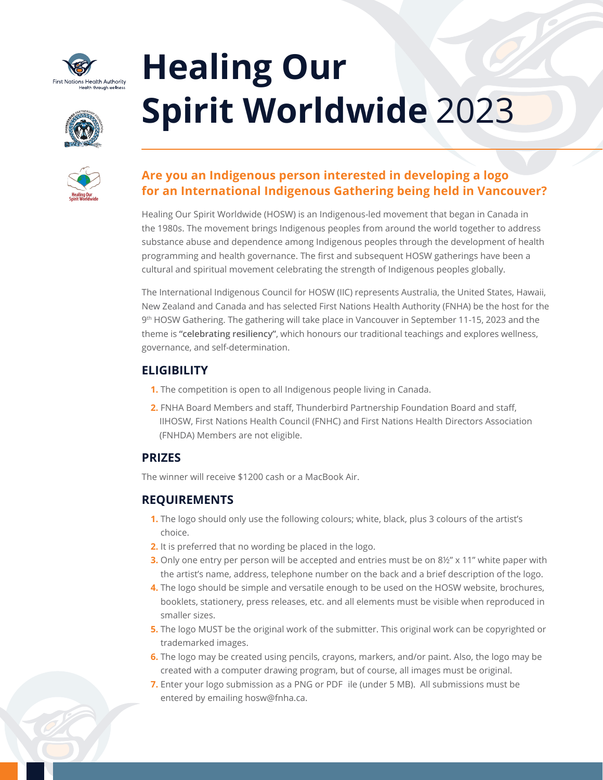

# **Healing Our Spirit Worldwide** 2023

| Healing Our<br>Spirit Worldwide |
|---------------------------------|

# **Are you an Indigenous person interested in developing a logo for an International Indigenous Gathering being held in Vancouver?**

Healing Our Spirit Worldwide (HOSW) is an Indigenous-led movement that began in Canada in the 1980s. The movement brings Indigenous peoples from around the world together to address substance abuse and dependence among Indigenous peoples through the development of health programming and health governance. The first and subsequent HOSW gatherings have been a cultural and spiritual movement celebrating the strength of Indigenous peoples globally.

The International Indigenous Council for HOSW (IIC) represents Australia, the United States, Hawaii, New Zealand and Canada and has selected First Nations Health Authority (FNHA) be the host for the 9<sup>th</sup> HOSW Gathering. The gathering will take place in Vancouver in September 11-15, 2023 and the theme is **"celebrating resiliency"**, which honours our traditional teachings and explores wellness, governance, and self-determination.

# **ELIGIBILITY**

- **1.** The competition is open to all Indigenous people living in Canada.
- **2.** FNHA Board Members and staff, Thunderbird Partnership Foundation Board and staff, IIHOSW, First Nations Health Council (FNHC) and First Nations Health Directors Association (FNHDA) Members are not eligible.

# **PRIZES**

The winner will receive \$1200 cash or a MacBook Air.

# **REQUIREMENTS**

- **1.** The logo should only use the following colours; white, black, plus 3 colours of the artist's choice.
- **2.** It is preferred that no wording be placed in the logo.
- **3.** Only one entry per person will be accepted and entries must be on 8½" x 11" white paper with the artist's name, address, telephone number on the back and a brief description of the logo.
- **4.** The logo should be simple and versatile enough to be used on the HOSW website, brochures, booklets, stationery, press releases, etc. and all elements must be visible when reproduced in smaller sizes.
- **5.** The logo MUST be the original work of the submitter. This original work can be copyrighted or trademarked images.
- **6.** The logo may be created using pencils, crayons, markers, and/or paint. Also, the logo may be created with a computer drawing program, but of course, all images must be original.
- **7.** Enter your logo submission as a PNG or PDF ile (under 5 MB). All submissions must be entered by emailing [hosw@fnha.ca](mailto:hosw@fnha.ca).